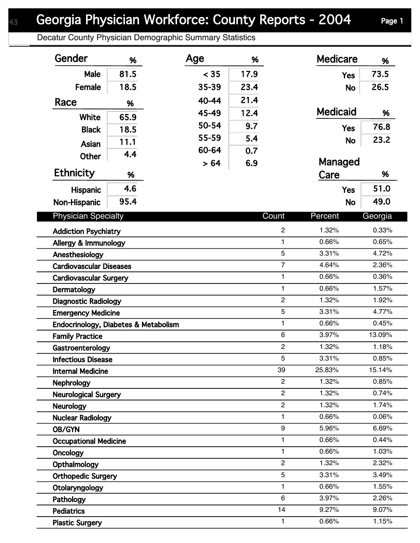Decatur County Physician Demographic Summary Statistics

| Gender                                 | %    | Age   | %    |                | <b>Medicare</b> | %       |
|----------------------------------------|------|-------|------|----------------|-----------------|---------|
| Male                                   | 81.5 | < 35  | 17.9 |                | <b>Yes</b>      | 73.5    |
| Female                                 | 18.5 | 35-39 | 23.4 |                | <b>No</b>       | 26.5    |
| Race                                   | %    | 40-44 | 21.4 |                |                 |         |
|                                        |      | 45-49 | 12.4 |                | <b>Medicaid</b> | %       |
| White                                  | 65.9 | 50-54 | 9.7  |                | <b>Yes</b>      | 76.8    |
| <b>Black</b>                           | 18.5 | 55-59 | 5.4  |                |                 | 23.2    |
| Asian                                  | 11.1 | 60-64 | 0.7  |                | <b>No</b>       |         |
| <b>Other</b>                           | 4.4  | > 64  | 6.9  |                | Managed         |         |
| <b>Ethnicity</b>                       | %    |       |      |                | Care            | %       |
| Hispanic                               | 4.6  |       |      |                | <b>Yes</b>      | 51.0    |
| Non-Hispanic                           | 95.4 |       |      |                | <b>No</b>       | 49.0    |
| <b>Physician Specialty</b>             |      |       |      | Count          | Percent         | Georgia |
|                                        |      |       |      | $\overline{c}$ | 1.32%           | 0.33%   |
| <b>Addiction Psychiatry</b>            |      |       |      | $\mathbf{1}$   | 0.66%           | 0.65%   |
| Allergy & Immunology<br>Anesthesiology |      |       |      | 5              | 3.31%           | 4.72%   |
| <b>Cardiovascular Diseases</b>         |      |       |      | $\overline{7}$ | 4.64%           | 2.36%   |
| <b>Cardiovascular Surgery</b>          |      |       |      | $\mathbf{1}$   | 0.66%           | 0.36%   |
| Dermatology                            |      |       |      | $\mathbf{1}$   | 0.66%           | 1.57%   |
| <b>Diagnostic Radiology</b>            |      |       |      | $\overline{2}$ | 1.32%           | 1.92%   |
| <b>Emergency Medicine</b>              |      |       |      | 5              | 3.31%           | 4.77%   |
| Endocrinology, Diabetes & Metabolism   |      |       |      | $\mathbf{1}$   | 0.66%           | 0.45%   |
| <b>Family Practice</b>                 |      |       |      | 6              | 3.97%           | 13.09%  |
| Gastroenterology                       |      |       |      | $\overline{c}$ | 1.32%           | 1.18%   |
| <b>Infectious Disease</b>              |      |       |      | 5              | 3.31%           | 0.85%   |
| <b>Internal Medicine</b>               |      |       |      | 39             | 25.83%          | 15.14%  |
| <b>Nephrology</b>                      |      |       |      | $\overline{2}$ | 1.32%           | 0.85%   |
| <b>Neurological Surgery</b>            |      |       |      | $\overline{2}$ | 1.32%           | 0.74%   |
| <b>Neurology</b>                       |      |       |      | $\overline{2}$ | 1.32%           | 1.74%   |
| <b>Nuclear Radiology</b>               |      |       |      | $\mathbf{1}$   | 0.66%           | 0.06%   |
| OB/GYN                                 |      |       |      | 9              | 5.96%           | 6.69%   |
| <b>Occupational Medicine</b>           |      |       |      | $\mathbf{1}$   | 0.66%           | 0.44%   |
| Oncology                               |      |       |      | 1              | 0.66%           | 1.03%   |
| Opthalmology                           |      |       |      | $\overline{2}$ | 1.32%           | 2.32%   |
| <b>Orthopedic Surgery</b>              |      |       |      | 5              | 3.31%           | 3.49%   |
| Otolaryngology                         |      |       |      | 1              | 0.66%           | 1.55%   |
| Pathology                              |      |       |      | 6              | 3.97%           | 2.26%   |
| <b>Pediatrics</b>                      |      |       |      | 14             | 9.27%           | 9.07%   |
| <b>Plastic Surgery</b>                 |      |       |      | $\mathbf{1}$   | 0.66%           | 1.15%   |